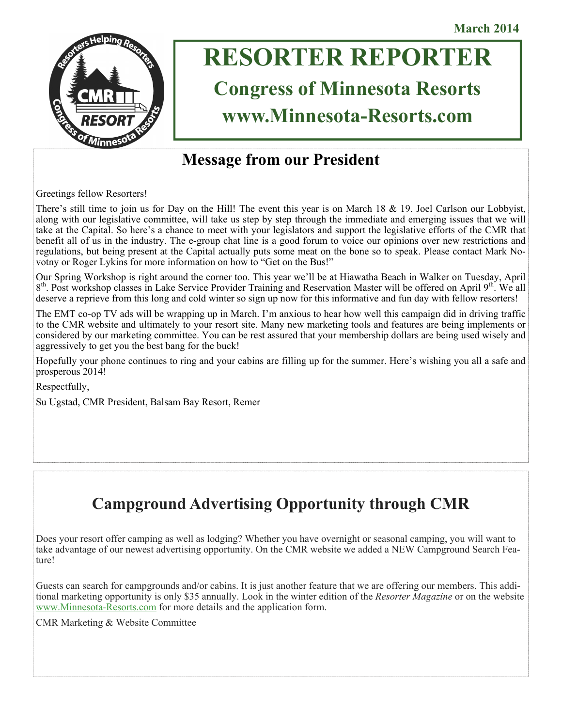

# **RESORTER REPORTER**

# **Congress of Minnesota Resorts www.Minnesota-Resorts.com**

# **Message from our President**

Greetings fellow Resorters!

There's still time to join us for Day on the Hill! The event this year is on March 18  $\&$  19. Joel Carlson our Lobbyist, along with our legislative committee, will take us step by step through the immediate and emerging issues that we will take at the Capital. So here's a chance to meet with your legislators and support the legislative efforts of the CMR that benefit all of us in the industry. The e-group chat line is a good forum to voice our opinions over new restrictions and regulations, but being present at the Capital actually puts some meat on the bone so to speak. Please contact Mark Novotny or Roger Lykins for more information on how to "Get on the Bus!"

Our Spring Workshop is right around the corner too. This year we'll be at Hiawatha Beach in Walker on Tuesday, April  $8<sup>th</sup>$ . Post workshop classes in Lake Service Provider Training and Reservation Master will be offered on April  $9<sup>th</sup>$ . We all deserve a reprieve from this long and cold winter so sign up now for this informative and fun day with fellow resorters!

The EMT co-op TV ads will be wrapping up in March. I'm anxious to hear how well this campaign did in driving traffic to the CMR website and ultimately to your resort site. Many new marketing tools and features are being implements or considered by our marketing committee. You can be rest assured that your membership dollars are being used wisely and aggressively to get you the best bang for the buck!

Hopefully your phone continues to ring and your cabins are filling up for the summer. Here's wishing you all a safe and prosperous 2014!

Respectfully,

Su Ugstad, CMR President, Balsam Bay Resort, Remer

# **Campground Advertising Opportunity through CMR**

Does your resort offer camping as well as lodging? Whether you have overnight or seasonal camping, you will want to take advantage of our newest advertising opportunity. On the CMR website we added a NEW Campground Search Feature!

Guests can search for campgrounds and/or cabins. It is just another feature that we are offering our members. This additional marketing opportunity is only \$35 annually. Look in the winter edition of the *Resorter Magazine* or on the website [www.Minnesota-Resorts.com](mailto:www.Minnesota-Resorts.com) for more details and the application form.

CMR Marketing & Website Committee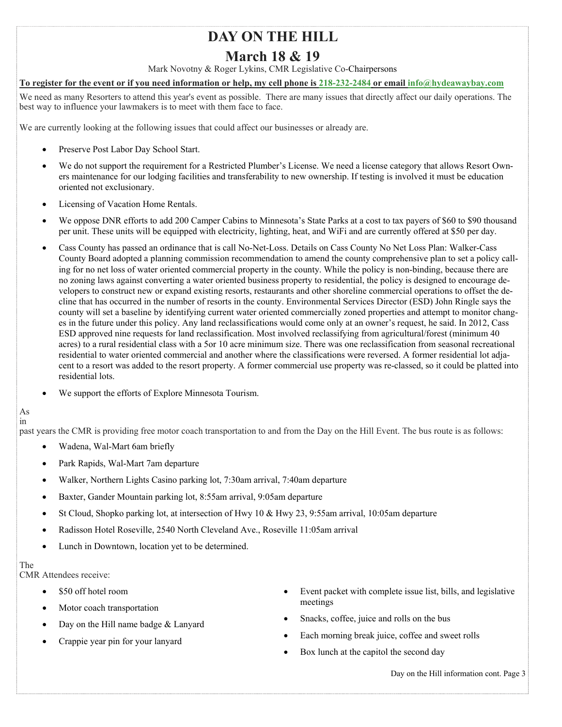## **DAY ON THE HILL**

### **March 18 & 19**

Mark Novotny & Roger Lykins, CMR Legislative Co-Chairpersons

#### **To register for the event or if you need information or help, my cell phone is [218-232-2484](mailto:218-232-2484) or email i[nfo@hydeawaybay.com](mailto:info@hydeawaybay.com)**

We need as many Resorters to attend this year's event as possible. There are many issues that directly affect our daily operations. The best way to influence your lawmakers is to meet with them face to face.

We are currently looking at the following issues that could affect our businesses or already are.

- Preserve Post Labor Day School Start.
- We do not support the requirement for a Restricted Plumber's License. We need a license category that allows Resort Owners maintenance for our lodging facilities and transferability to new ownership. If testing is involved it must be education oriented not exclusionary.
- Licensing of Vacation Home Rentals.
- We oppose DNR efforts to add 200 Camper Cabins to Minnesota's State Parks at a cost to tax payers of \$60 to \$90 thousand per unit. These units will be equipped with electricity, lighting, heat, and WiFi and are currently offered at \$50 per day.
- Cass County has passed an ordinance that is call No-Net-Loss. Details on Cass County No Net Loss Plan: Walker-Cass County Board adopted a planning commission recommendation to amend the county comprehensive plan to set a policy calling for no net loss of water oriented commercial property in the county. While the policy is non-binding, because there are no zoning laws against converting a water oriented business property to residential, the policy is designed to encourage developers to construct new or expand existing resorts, restaurants and other shoreline commercial operations to offset the decline that has occurred in the number of resorts in the county. Environmental Services Director (ESD) John Ringle says the county will set a baseline by identifying current water oriented commercially zoned properties and attempt to monitor changes in the future under this policy. Any land reclassifications would come only at an owner's request, he said. In 2012, Cass ESD approved nine requests for land reclassification. Most involved reclassifying from agricultural/forest (minimum 40 acres) to a rural residential class with a 5or 10 acre minimum size. There was one reclassification from seasonal recreational residential to water oriented commercial and another where the classifications were reversed. A former residential lot adjacent to a resort was added to the resort property. A former commercial use property was re-classed, so it could be platted into residential lots.
- We support the efforts of Explore Minnesota Tourism.

#### As in

past years the CMR is providing free motor coach transportation to and from the Day on the Hill Event. The bus route is as follows:

- Wadena, Wal-Mart 6am briefly
- Park Rapids, Wal-Mart 7am departure
- Walker, Northern Lights Casino parking lot, 7:30am arrival, 7:40am departure
- Baxter, Gander Mountain parking lot, 8:55am arrival, 9:05am departure
- St Cloud, Shopko parking lot, at intersection of Hwy  $10 \&$  Hwy 23, 9:55am arrival, 10:05am departure
- Radisson Hotel Roseville, 2540 North Cleveland Ave., Roseville 11:05am arrival
- Lunch in Downtown, location yet to be determined.

The CMR Attendees receive:

- \$50 off hotel room
- Motor coach transportation
- Day on the Hill name badge & Lanyard
- Crappie year pin for your lanyard
- Event packet with complete issue list, bills, and legislative meetings
- Snacks, coffee, juice and rolls on the bus
- Each morning break juice, coffee and sweet rolls
- Box lunch at the capitol the second day

Day on the Hill information cont. Page 3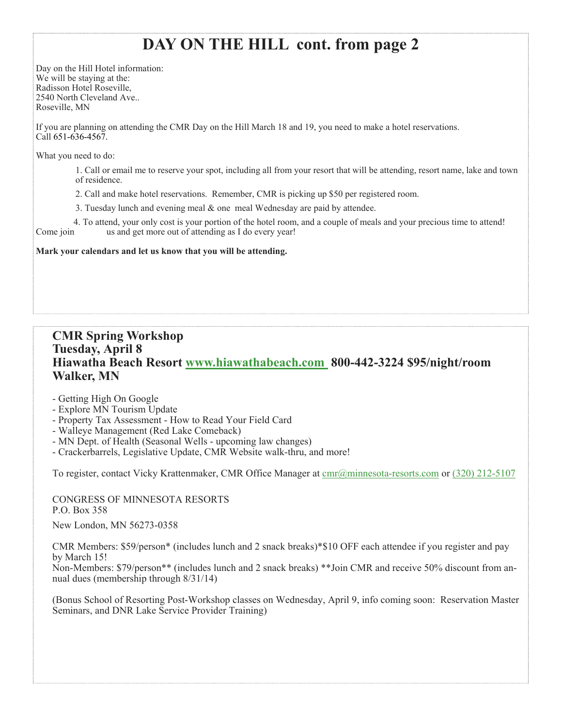# **DAY ON THE HILL cont. from page 2**

Day on the Hill Hotel information: We will be staying at the: Radisson Hotel Roseville, 2540 North Cleveland Ave.. Roseville, MN

If you are planning on attending the CMR Day on the Hill March 18 and 19, you need to make a hotel reservations. Call 651-636-4567.

What you need to do:

1. Call or email me to reserve your spot, including all from your resort that will be attending, resort name, lake and town of residence.

2. Call and make hotel reservations. Remember, CMR is picking up \$50 per registered room.

3. Tuesday lunch and evening meal & one meal Wednesday are paid by attendee.

 4. To attend, your only cost is your portion of the hotel room, and a couple of meals and your precious time to attend! Come join us and get more out of attending as I do every year!

**Mark your calendars and let us know that you will be attending.**

### **CMR Spring Workshop Tuesday, April 8 Hiawatha Beach Resort [www.hiawathabeach.com](mailto:www.hiawathabeach.com) 800-442-3224 \$95/night/room Walker, MN**

- Getting High On Google
- Explore MN Tourism Update
- Property Tax Assessment How to Read Your Field Card
- Walleye Management (Red Lake Comeback)
- MN Dept. of Health (Seasonal Wells upcoming law changes)
- Crackerbarrels, Legislative Update, CMR Website walk-thru, and more!

To register, contact Vicky Krattenmaker, CMR Office Manager at  $\text{cm}(a)$ minnesota-resorts.com or (320) 212-5107

CONGRESS OF MINNESOTA RESORTS P.O. Box 358

New London, MN 56273-0358

CMR Members: \$59/person\* (includes lunch and 2 snack breaks)\*\$10 OFF each attendee if you register and pay by March 15!

Non-Members: \$79/person\*\* (includes lunch and 2 snack breaks) \*\*Join CMR and receive 50% discount from annual dues (membership through 8/31/14)

(Bonus School of Resorting Post-Workshop classes on Wednesday, April 9, info coming soon: Reservation Master Seminars, and DNR Lake Service Provider Training)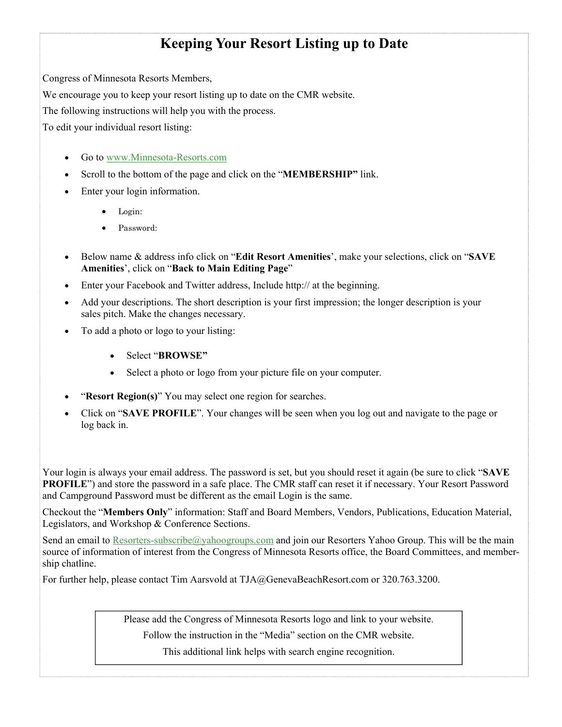### **Keeping Your Resort Listing up to Date**

Congress of Minnesota Resorts Members,

We encourage you to keep your resort listing up to date on the CMR website.

The following instructions will help you with the process.

To edit your individual resort listing:

- Go to [www.Minnesota-Resorts.com](mailto:www.Minnesota-Resorts.com)
- Scroll to the bottom of the page and click on the "**MEMBERSHIP"** link.
- Enter your login information.
	- Login:
	- Password:
- Below name & address info click on "**Edit Resort Amenities**', make your selections, click on "**SAVE Amenities**', click on "**Back to Main Editing Page**"
- Enter your Facebook and Twitter address, Include http:// at the beginning.
- Add your descriptions. The short description is your first impression; the longer description is your sales pitch. Make the changes necessary.
- To add a photo or logo to your listing:
	- Select "**BROWSE"**
	- Select a photo or logo from your picture file on your computer.
- "**Resort Region(s)**" You may select one region for searches.
- Click on "**SAVE PROFILE**". Your changes will be seen when you log out and navigate to the page or log back in.

Your login is always your email address. The password is set, but you should reset it again (be sure to click "**SAVE PROFILE**") and store the password in a safe place. The CMR staff can reset it if necessary. Your Resort Password and Campground Password must be different as the email Login is the same.

Checkout the "**Members Only**" information: Staff and Board Members, Vendors, Publications, Education Material, Legislators, and Workshop & Conference Sections.

Send an email to [Resorters-subscribe@yahoogroups.com](mailto:Resorters-subscribe@yahoogroups.com) and join our Resorters Yahoo Group. This will be the main source of information of interest from the Congress of Minnesota Resorts office, the Board Committees, and membership chatline.

For further help, please contact Tim Aarsvold at TJA@GenevaBeachResort.com or 320.763.3200.

Please add the Congress of Minnesota Resorts logo and link to your website.

Follow the instruction in the "Media" section on the CMR website.

This additional link helps with search engine recognition.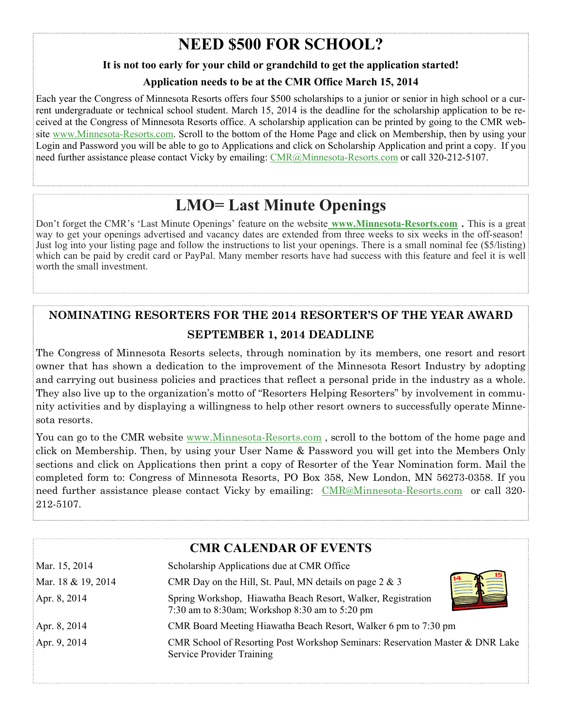# **NEED \$500 FOR SCHOOL?**

### **It is not too early for your child or grandchild to get the application started!**

### **Application needs to be at the CMR Office March 15, 2014**

Each year the Congress of Minnesota Resorts offers four \$500 scholarships to a junior or senior in high school or a current undergraduate or technical school student. March 15, 2014 is the deadline for the scholarship application to be received at the Congress of Minnesota Resorts office. A scholarship application can be printed by going to the CMR website [www.Minnesota-Resorts.com.](mailto:www.Minnesota-Resorts.com) Scroll to the bottom of the Home Page and click on Membership, then by using your Login and Password you will be able to go to Applications and click on Scholarship Application and print a copy. If you need further assistance please contact Vicky by emailing: [CMR@Minnesota-Resorts.com](mailto:cmr@minnesota-resorts.com) or call 320-212-5107.

# **LMO= Last Minute Openings**

Don't forget the CMR's 'Last Minute Openings' feature on the website **[www.Minnesota-Resorts.com](http://www.minnesota-resorts.com/) .** This is a great way to get your openings advertised and vacancy dates are extended from three weeks to six weeks in the off-season! Just log into your listing page and follow the instructions to list your openings. There is a small nominal fee (\$5/listing) which can be paid by credit card or PayPal. Many member resorts have had success with this feature and feel it is well worth the small investment.

### **NOMINATING RESORTERS FOR THE 2014 RESORTER'S OF THE YEAR AWARD SEPTEMBER 1, 2014 DEADLINE**

The Congress of Minnesota Resorts selects, through nomination by its members, one resort and resort owner that has shown a dedication to the improvement of the Minnesota Resort Industry by adopting and carrying out business policies and practices that reflect a personal pride in the industry as a whole. They also live up to the organization's motto of "Resorters Helping Resorters" by involvement in community activities and by displaying a willingness to help other resort owners to successfully operate Minnesota resorts.

You can go to the CMR website [www.Minnesota-Resorts.com](mailto:www.Minnesota-) , scroll to the bottom of the home page and click on Membership. Then, by using your User Name & Password you will get into the Members Only sections and click on Applications then print a copy of Resorter of the Year Nomination form. Mail the completed form to: Congress of Minnesota Resorts, PO Box 358, New London, MN 56273-0358. If you need further assistance please contact Vicky by emailing: [CMR@Minnesota-Resorts.com](mailto:CMR@Minnesota-Resorts.com) or call 320- 212-5107.

### **CMR CALENDAR OF EVENTS**

| Mar. 15, 2014      | Scholarship Applications due at CMR Office                                                                        |
|--------------------|-------------------------------------------------------------------------------------------------------------------|
| Mar. 18 & 19, 2014 | CMR Day on the Hill, St. Paul, MN details on page $2 \& 3$                                                        |
| Apr. 8, 2014       | Spring Workshop, Hiawatha Beach Resort, Walker, Registration<br>7:30 am to 8:30am; Workshop 8:30 am to 5:20 pm    |
| Apr. 8, 2014       | CMR Board Meeting Hiawatha Beach Resort, Walker 6 pm to 7:30 pm                                                   |
| Apr. 9, 2014       | CMR School of Resorting Post Workshop Seminars: Reservation Master & DNR Lake<br><b>Service Provider Training</b> |